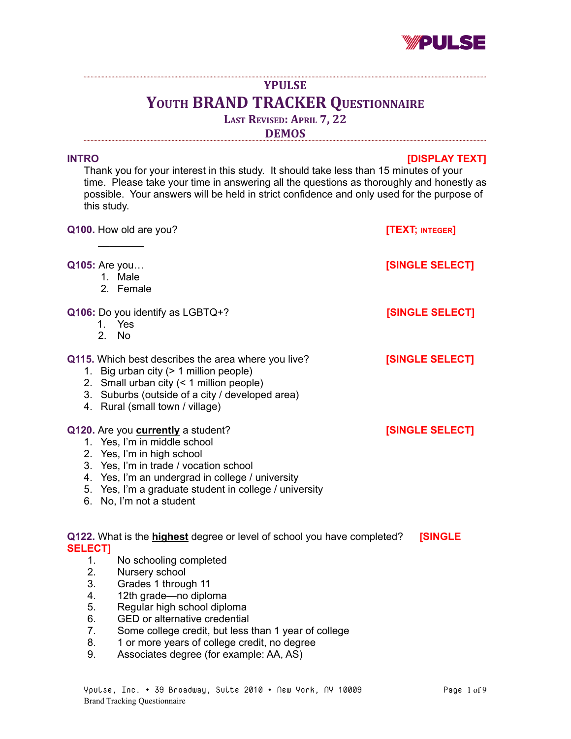

# **YPULSE YOUTH BRAND TRACKER QUESTIONNAIRE LAST REVISED: APRIL 7, 22**

**DEMOS**

# **INTRO [DISPLAY TEXT]**

Thank you for your interest in this study. It should take less than 15 minutes of your time. Please take your time in answering all the questions as thoroughly and honestly as possible. Your answers will be held in strict confidence and only used for the purpose of this study.

|                                                                                                             | Q100. How old are you?                                                                                                                                                                                                                                                                      | [TEXT; INTEGER] |
|-------------------------------------------------------------------------------------------------------------|---------------------------------------------------------------------------------------------------------------------------------------------------------------------------------------------------------------------------------------------------------------------------------------------|-----------------|
|                                                                                                             | <b>Q105: Are you</b><br>1. Male<br>2. Female                                                                                                                                                                                                                                                | [SINGLE SELECT] |
|                                                                                                             | Q106: Do you identify as LGBTQ+?<br>1. Yes<br>2. No                                                                                                                                                                                                                                         | [SINGLE SELECT] |
|                                                                                                             | Q115. Which best describes the area where you live?<br>1. Big urban city (> 1 million people)<br>2. Small urban city (< 1 million people)<br>3. Suburbs (outside of a city / developed area)<br>4. Rural (small town / village)                                                             | [SINGLE SELECT] |
|                                                                                                             | Q120. Are you <b>currently</b> a student?<br>1. Yes, I'm in middle school<br>2. Yes, I'm in high school<br>3. Yes, I'm in trade / vocation school<br>4. Yes, I'm an undergrad in college / university<br>5. Yes, I'm a graduate student in college / university<br>6. No, I'm not a student | [SINGLE SELECT] |
| Q122. What is the highest degree or level of school you have completed?<br><b>[SINGLE</b><br><b>SELECT]</b> |                                                                                                                                                                                                                                                                                             |                 |
| 1.                                                                                                          | No schooling completed                                                                                                                                                                                                                                                                      |                 |
| 2.<br>3.                                                                                                    | Nursery school                                                                                                                                                                                                                                                                              |                 |
| 4.                                                                                                          | Grades 1 through 11<br>12th grade-no diploma                                                                                                                                                                                                                                                |                 |
| 5.                                                                                                          | Regular high school diploma                                                                                                                                                                                                                                                                 |                 |
| 6.                                                                                                          | <b>GED</b> or alternative credential                                                                                                                                                                                                                                                        |                 |
| 7.                                                                                                          | Some college credit, but less than 1 year of college                                                                                                                                                                                                                                        |                 |
| 8.                                                                                                          | 1 or more years of college credit, no degree                                                                                                                                                                                                                                                |                 |

9. Associates degree (for example: AA, AS)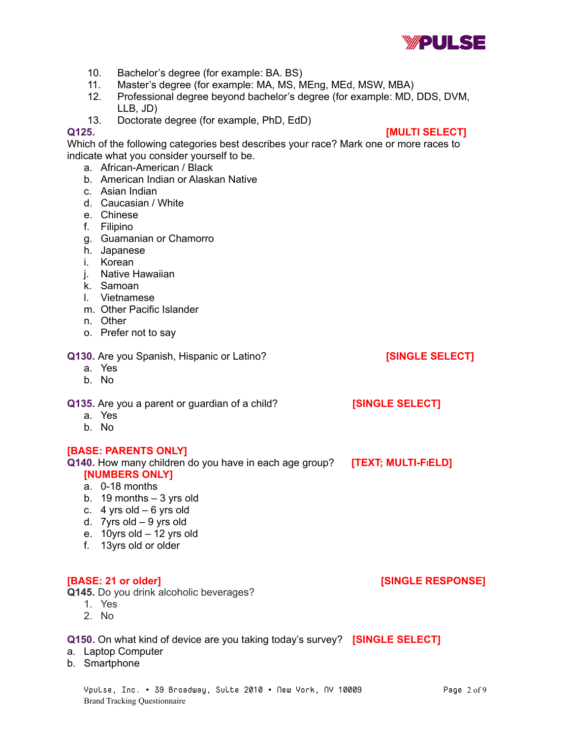

- 10. Bachelor's degree (for example: BA. BS)
- 11. Master's degree (for example: MA, MS, MEng, MEd, MSW, MBA)
- 12. Professional degree beyond bachelor's degree (for example: MD, DDS, DVM, LLB, JD)
- 13. Doctorate degree (for example, PhD, EdD)

# **Q125. [MULTI SELECT]**

Which of the following categories best describes your race? Mark one or more races to indicate what you consider yourself to be.

- a. African-American / Black
- b. American Indian or Alaskan Native
- c. Asian Indian
- d. Caucasian / White
- e. Chinese
- f. Filipino
- g. Guamanian or Chamorro
- h. Japanese
- i. Korean
- j. Native Hawaiian
- k. Samoan
- l. Vietnamese
- m. Other Pacific Islander
- n. Other
- o. Prefer not to say

# **Q130.** Are you Spanish, Hispanic or Latino? **[SINGLE SELECT]**

- a. Yes
- b. No

**Q135.** Are you a parent or guardian of a child? **[SINGLE SELECT]**

- a. Yes
- b. No

# **[BASE: PARENTS ONLY]**

**Q140.** How many children do you have in each age group? **[TEXT; MULTI-FIELD]**

- **[NUMBERS ONLY]**
- a. 0-18 months
- b.  $19$  months  $-3$  yrs old
- c.  $4$  yrs old 6 yrs old
- d. 7yrs old 9 yrs old
- e. 10yrs old 12 yrs old
- f. 13yrs old or older

**Q145.** Do you drink alcoholic beverages?

- 1. Yes
- 2. No

# **Q150.** On what kind of device are you taking today's survey? **[SINGLE SELECT]**

- a. Laptop Computer
- b. Smartphone

**[BASE: 21 or older] [SINGLE RESPONSE]**

- 
-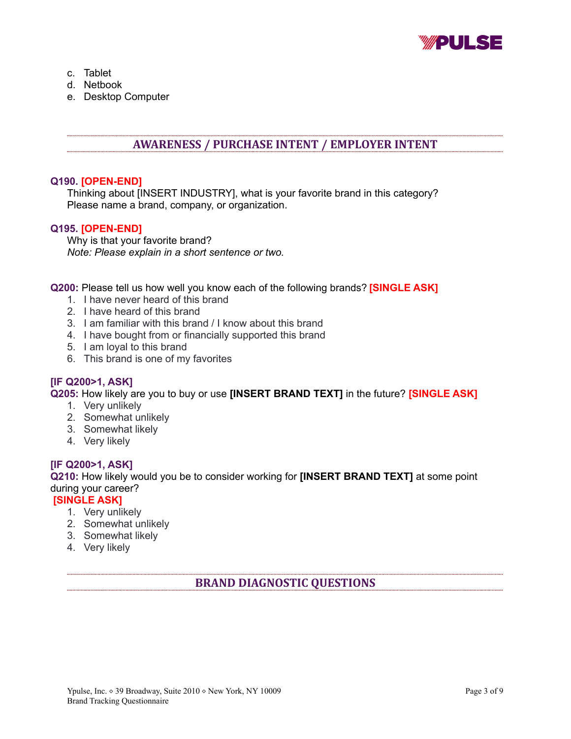

- c. Tablet
- d. Netbook
- e. Desktop Computer

# **AWARENESS / PURCHASE INTENT / EMPLOYER INTENT**

# **Q190. [OPEN-END]**

Thinking about [INSERT INDUSTRY], what is your favorite brand in this category? Please name a brand, company, or organization.

# **Q195. [OPEN-END]**

Why is that your favorite brand? *Note: Please explain in a short sentence or two.*

**Q200:** Please tell us how well you know each of the following brands? **[SINGLE ASK]**

- 1. I have never heard of this brand
- 2. I have heard of this brand
- 3. I am familiar with this brand / I know about this brand
- 4. I have bought from or financially supported this brand
- 5. I am loyal to this brand
- 6. This brand is one of my favorites

# **[IF Q200>1, ASK]**

**Q205:** How likely are you to buy or use **[INSERT BRAND TEXT]** in the future? **[SINGLE ASK]**

- 1. Very unlikely
- 2. Somewhat unlikely
- 3. Somewhat likely
- 4. Very likely

# **[IF Q200>1, ASK]**

**Q210:** How likely would you be to consider working for **[INSERT BRAND TEXT]** at some point during your career?

# **[SINGLE ASK]**

- 1. Very unlikely
- 2. Somewhat unlikely
- 3. Somewhat likely
- 4. Very likely

# **BRAND DIAGNOSTIC QUESTIONS**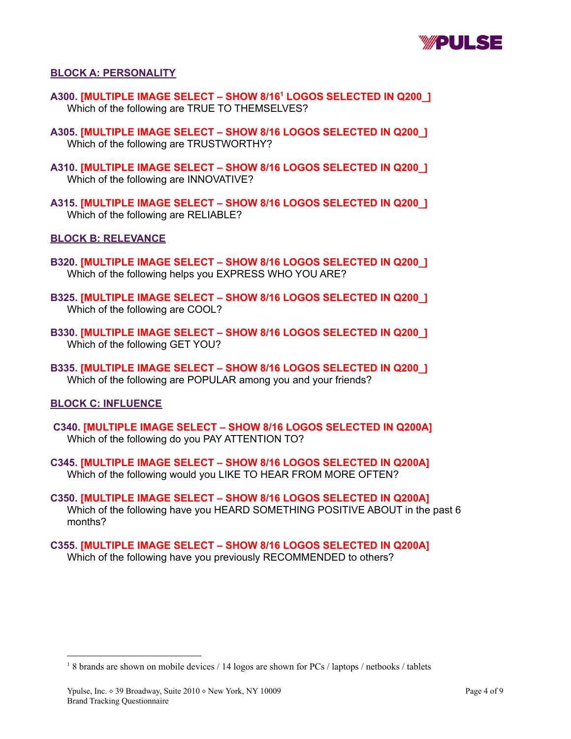

#### **BLOCK A: PERSONALITY**

- **A300. [MULTIPLE IMAGE SELECT – SHOW 8/16 <sup>1</sup> LOGOS SELECTED IN Q200\_]** Which of the following are TRUE TO THEMSELVES?
- **A305. [MULTIPLE IMAGE SELECT – SHOW 8/16 LOGOS SELECTED IN Q200\_]** Which of the following are TRUSTWORTHY?
- **A310. [MULTIPLE IMAGE SELECT – SHOW 8/16 LOGOS SELECTED IN Q200\_]** Which of the following are INNOVATIVE?
- **A315. [MULTIPLE IMAGE SELECT – SHOW 8/16 LOGOS SELECTED IN Q200\_]** Which of the following are RELIABLE?

#### **BLOCK B: RELEVANCE**

- **B320. [MULTIPLE IMAGE SELECT – SHOW 8/16 LOGOS SELECTED IN Q200\_]** Which of the following helps you EXPRESS WHO YOU ARE?
- **B325. [MULTIPLE IMAGE SELECT – SHOW 8/16 LOGOS SELECTED IN Q200\_]** Which of the following are COOL?
- **B330. [MULTIPLE IMAGE SELECT – SHOW 8/16 LOGOS SELECTED IN Q200\_]** Which of the following GET YOU?
- **B335. [MULTIPLE IMAGE SELECT – SHOW 8/16 LOGOS SELECTED IN Q200\_]** Which of the following are POPULAR among you and your friends?

#### **BLOCK C: INFLUENCE**

- **C340. [MULTIPLE IMAGE SELECT – SHOW 8/16 LOGOS SELECTED IN Q200A]** Which of the following do you PAY ATTENTION TO?
- **C345. [MULTIPLE IMAGE SELECT – SHOW 8/16 LOGOS SELECTED IN Q200A]** Which of the following would you LIKE TO HEAR FROM MORE OFTEN?
- **C350. [MULTIPLE IMAGE SELECT – SHOW 8/16 LOGOS SELECTED IN Q200A]** Which of the following have you HEARD SOMETHING POSITIVE ABOUT in the past 6 months?
- **C355. [MULTIPLE IMAGE SELECT – SHOW 8/16 LOGOS SELECTED IN Q200A]** Which of the following have you previously RECOMMENDED to others?

<sup>1</sup> 8 brands are shown on mobile devices / 14 logos are shown for PCs / laptops / netbooks / tablets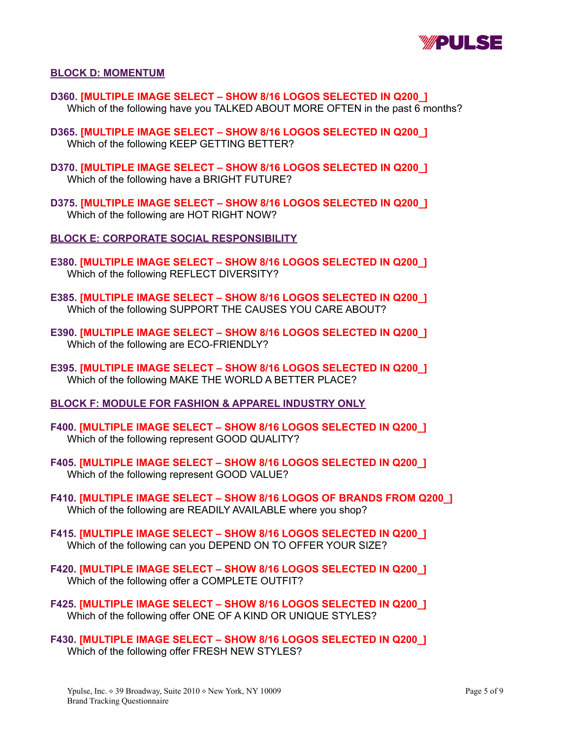

#### **BLOCK D: MOMENTUM**

- **D360. [MULTIPLE IMAGE SELECT – SHOW 8/16 LOGOS SELECTED IN Q200\_]** Which of the following have you TALKED ABOUT MORE OFTEN in the past 6 months?
- **D365. [MULTIPLE IMAGE SELECT – SHOW 8/16 LOGOS SELECTED IN Q200\_]** Which of the following KEEP GETTING BETTER?
- **D370. [MULTIPLE IMAGE SELECT – SHOW 8/16 LOGOS SELECTED IN Q200\_]** Which of the following have a BRIGHT FUTURE?
- **D375. [MULTIPLE IMAGE SELECT – SHOW 8/16 LOGOS SELECTED IN Q200\_]** Which of the following are HOT RIGHT NOW?

**BLOCK E: CORPORATE SOCIAL RESPONSIBILITY**

- **E380. [MULTIPLE IMAGE SELECT – SHOW 8/16 LOGOS SELECTED IN Q200\_]** Which of the following REFLECT DIVERSITY?
- **E385. [MULTIPLE IMAGE SELECT – SHOW 8/16 LOGOS SELECTED IN Q200\_]** Which of the following SUPPORT THE CAUSES YOU CARE ABOUT?
- **E390. [MULTIPLE IMAGE SELECT – SHOW 8/16 LOGOS SELECTED IN Q200\_]** Which of the following are ECO-FRIENDLY?
- **E395. [MULTIPLE IMAGE SELECT – SHOW 8/16 LOGOS SELECTED IN Q200\_]** Which of the following MAKE THE WORLD A BETTER PLACE?
- **BLOCK F: MODULE FOR FASHION & APPAREL INDUSTRY ONLY**
- **F400. [MULTIPLE IMAGE SELECT – SHOW 8/16 LOGOS SELECTED IN Q200\_]** Which of the following represent GOOD QUALITY?
- **F405. [MULTIPLE IMAGE SELECT – SHOW 8/16 LOGOS SELECTED IN Q200\_]** Which of the following represent GOOD VALUE?
- **F410. [MULTIPLE IMAGE SELECT – SHOW 8/16 LOGOS OF BRANDS FROM Q200\_]** Which of the following are READILY AVAILABLE where you shop?
- **F415. [MULTIPLE IMAGE SELECT – SHOW 8/16 LOGOS SELECTED IN Q200\_]** Which of the following can you DEPEND ON TO OFFER YOUR SIZE?
- **F420. [MULTIPLE IMAGE SELECT – SHOW 8/16 LOGOS SELECTED IN Q200\_]** Which of the following offer a COMPLETE OUTFIT?
- **F425. [MULTIPLE IMAGE SELECT – SHOW 8/16 LOGOS SELECTED IN Q200\_]** Which of the following offer ONE OF A KIND OR UNIQUE STYLES?
- **F430. [MULTIPLE IMAGE SELECT – SHOW 8/16 LOGOS SELECTED IN Q200\_]** Which of the following offer FRESH NEW STYLES?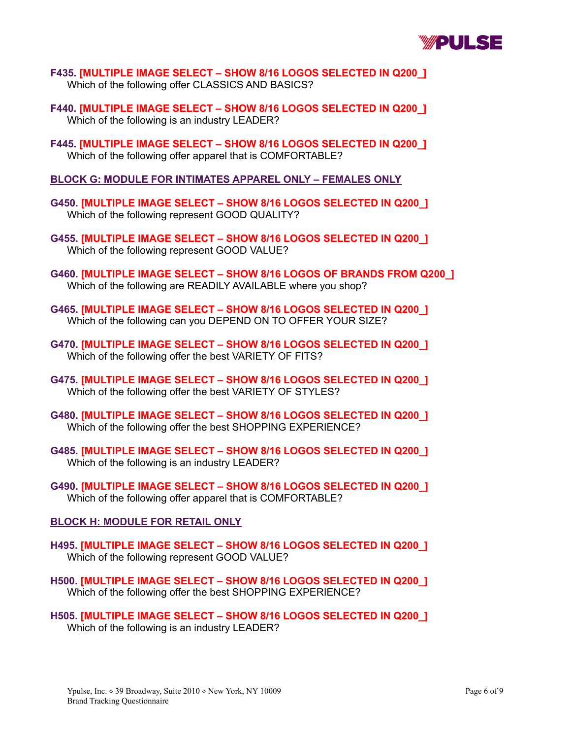

- **F435. [MULTIPLE IMAGE SELECT – SHOW 8/16 LOGOS SELECTED IN Q200\_]** Which of the following offer CLASSICS AND BASICS?
- **F440. [MULTIPLE IMAGE SELECT – SHOW 8/16 LOGOS SELECTED IN Q200\_]** Which of the following is an industry LEADER?
- **F445. [MULTIPLE IMAGE SELECT – SHOW 8/16 LOGOS SELECTED IN Q200\_]** Which of the following offer apparel that is COMFORTABLE?
- **BLOCK G: MODULE FOR INTIMATES APPAREL ONLY – FEMALES ONLY**
- **G450. [MULTIPLE IMAGE SELECT – SHOW 8/16 LOGOS SELECTED IN Q200\_]** Which of the following represent GOOD QUALITY?
- **G455. [MULTIPLE IMAGE SELECT – SHOW 8/16 LOGOS SELECTED IN Q200\_]** Which of the following represent GOOD VALUE?
- **G460. [MULTIPLE IMAGE SELECT – SHOW 8/16 LOGOS OF BRANDS FROM Q200\_]** Which of the following are READILY AVAILABLE where you shop?
- **G465. [MULTIPLE IMAGE SELECT – SHOW 8/16 LOGOS SELECTED IN Q200\_]** Which of the following can you DEPEND ON TO OFFER YOUR SIZE?
- **G470. [MULTIPLE IMAGE SELECT – SHOW 8/16 LOGOS SELECTED IN Q200\_]** Which of the following offer the best VARIETY OF FITS?
- **G475. [MULTIPLE IMAGE SELECT – SHOW 8/16 LOGOS SELECTED IN Q200\_]** Which of the following offer the best VARIETY OF STYLES?
- **G480. [MULTIPLE IMAGE SELECT – SHOW 8/16 LOGOS SELECTED IN Q200\_]** Which of the following offer the best SHOPPING EXPERIENCE?
- **G485. [MULTIPLE IMAGE SELECT – SHOW 8/16 LOGOS SELECTED IN Q200\_]** Which of the following is an industry LEADER?
- **G490. [MULTIPLE IMAGE SELECT – SHOW 8/16 LOGOS SELECTED IN Q200\_]** Which of the following offer apparel that is COMFORTABLE?

# **BLOCK H: MODULE FOR RETAIL ONLY**

- **H495. [MULTIPLE IMAGE SELECT – SHOW 8/16 LOGOS SELECTED IN Q200\_]** Which of the following represent GOOD VALUE?
- **H500. [MULTIPLE IMAGE SELECT – SHOW 8/16 LOGOS SELECTED IN Q200\_]** Which of the following offer the best SHOPPING EXPERIENCE?
- **H505. [MULTIPLE IMAGE SELECT – SHOW 8/16 LOGOS SELECTED IN Q200\_]** Which of the following is an industry LEADER?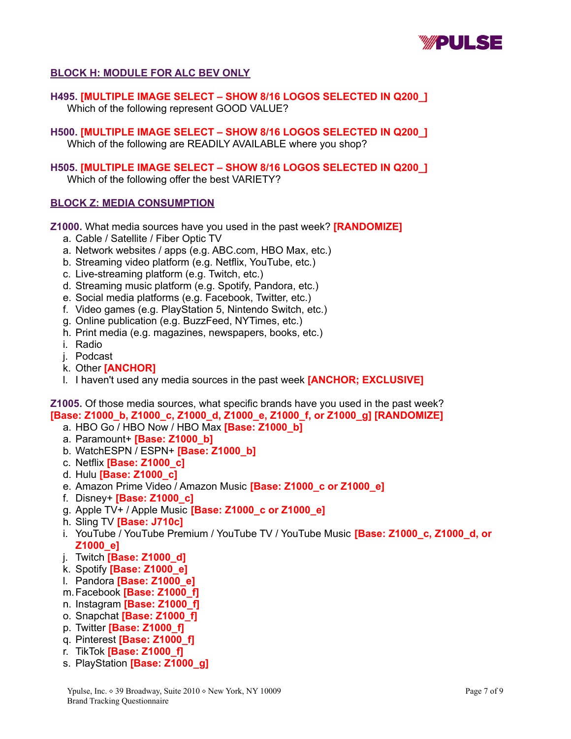

# **BLOCK H: MODULE FOR ALC BEV ONLY**

**H495. [MULTIPLE IMAGE SELECT – SHOW 8/16 LOGOS SELECTED IN Q200\_]** Which of the following represent GOOD VALUE?

**H500. [MULTIPLE IMAGE SELECT – SHOW 8/16 LOGOS SELECTED IN Q200\_]** Which of the following are READILY AVAILABLE where you shop?

**H505. [MULTIPLE IMAGE SELECT – SHOW 8/16 LOGOS SELECTED IN Q200\_]** Which of the following offer the best VARIETY?

# **BLOCK Z: MEDIA CONSUMPTION**

**Z1000.** What media sources have you used in the past week? **[RANDOMIZE]**

- a. Cable / Satellite / Fiber Optic TV
- a. Network websites / apps (e.g. ABC.com, HBO Max, etc.)
- b. Streaming video platform (e.g. Netflix, YouTube, etc.)
- c. Live-streaming platform (e.g. Twitch, etc.)
- d. Streaming music platform (e.g. Spotify, Pandora, etc.)
- e. Social media platforms (e.g. Facebook, Twitter, etc.)
- f. Video games (e.g. PlayStation 5, Nintendo Switch, etc.)
- g. Online publication (e.g. BuzzFeed, NYTimes, etc.)
- h. Print media (e.g. magazines, newspapers, books, etc.)
- i. Radio
- j. Podcast
- k. Other **[ANCHOR]**
- l. I haven't used any media sources in the past week **[ANCHOR; EXCLUSIVE]**

**Z1005.** Of those media sources, what specific brands have you used in the past week? **[Base: Z1000\_b, Z1000\_c, Z1000\_d, Z1000\_e, Z1000\_f, or Z1000\_g] [RANDOMIZE]**

- a. HBO Go / HBO Now / HBO Max **[Base: Z1000\_b]**
- a. Paramount+ **[Base: Z1000\_b]**
- b. WatchESPN / ESPN+ **[Base: Z1000\_b]**
- c. Netflix **[Base: Z1000\_c]**
- d. Hulu **[Base: Z1000\_c]**
- e. Amazon Prime Video / Amazon Music **[Base: Z1000\_c or Z1000\_e]**
- f. Disney+ **[Base: Z1000\_c]**
- g. Apple TV+ / Apple Music **[Base: Z1000\_c or Z1000\_e]**
- h. Sling TV **[Base: J710c]**
- i. YouTube / YouTube Premium / YouTube TV / YouTube Music **[Base: Z1000\_c, Z1000\_d, or Z1000\_e]**
- j. Twitch **[Base: Z1000\_d]**
- k. Spotify **[Base: Z1000\_e]**
- l. Pandora **[Base: Z1000\_e]**
- m.Facebook **[Base: Z1000\_f]**
- n. Instagram **[Base: Z1000\_f]**
- o. Snapchat **[Base: Z1000\_f]**
- p. Twitter **[Base: Z1000\_f]**
- q. Pinterest **[Base: Z1000\_f]**
- r. TikTok **[Base: Z1000\_f]**
- s. PlayStation **[Base: Z1000\_g]**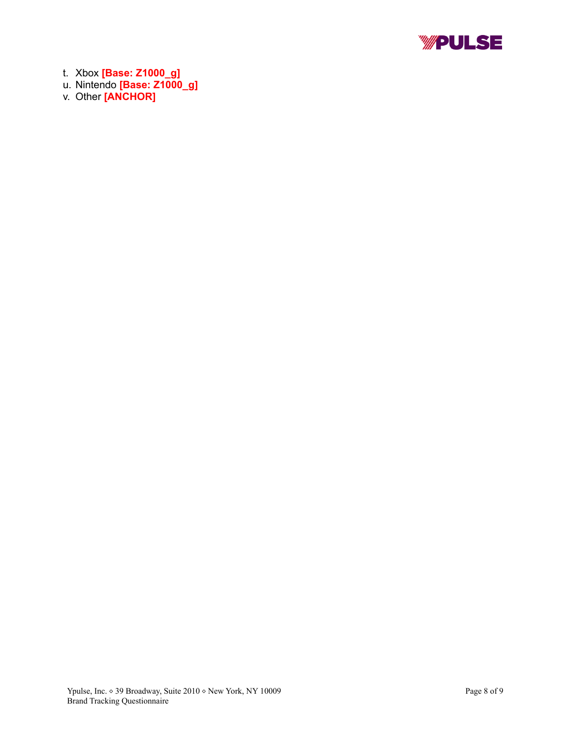

t. Xbox **[Base: Z1000\_g]**

- u. Nintendo **[Base: Z1000\_g]**
- v. Other **[ANCHOR]**